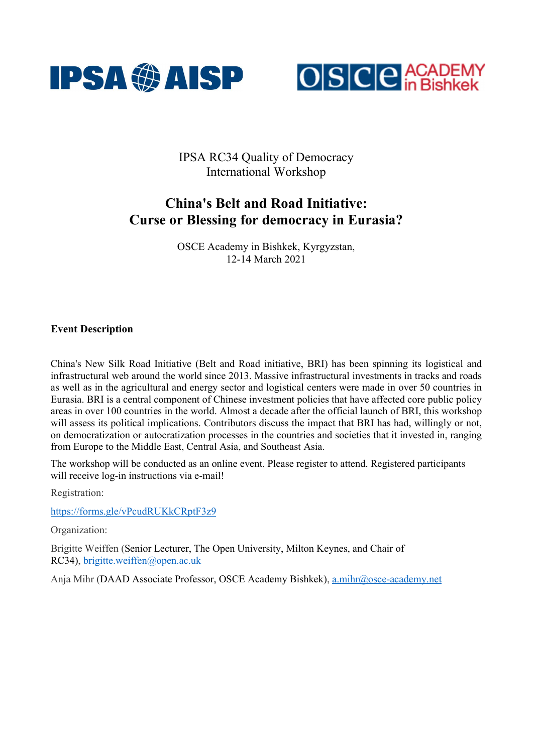



IPSA RC34 Quality of Democracy International Workshop

# China's Belt and Road Initiative: Curse or Blessing for democracy in Eurasia?

OSCE Academy in Bishkek, Kyrgyzstan, 12-14 March 2021

# Event Description

China's New Silk Road Initiative (Belt and Road initiative, BRI) has been spinning its logistical and infrastructural web around the world since 2013. Massive infrastructural investments in tracks and roads as well as in the agricultural and energy sector and logistical centers were made in over 50 countries in Eurasia. BRI is a central component of Chinese investment policies that have affected core public policy areas in over 100 countries in the world. Almost a decade after the official launch of BRI, this workshop will assess its political implications. Contributors discuss the impact that BRI has had, willingly or not, on democratization or autocratization processes in the countries and societies that it invested in, ranging from Europe to the Middle East, Central Asia, and Southeast Asia.

The workshop will be conducted as an online event. Please register to attend. Registered participants will receive log-in instructions via e-mail!

Registration:

https://forms.gle/vPcudRUKkCRptF3z9

Organization:

Brigitte Weiffen (Senior Lecturer, The Open University, Milton Keynes, and Chair of RC34), brigitte.weiffen@open.ac.uk

Anja Mihr (DAAD Associate Professor, OSCE Academy Bishkek), a.mihr@osce-academy.net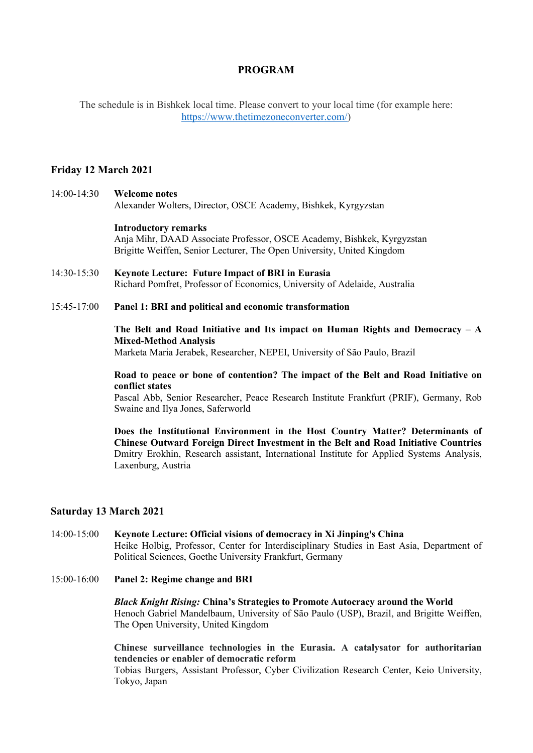# PROGRAM

The schedule is in Bishkek local time. Please convert to your local time (for example here: https://www.thetimezoneconverter.com/)

## Friday 12 March 2021

# 14:00-14:30 Welcome notes

Alexander Wolters, Director, OSCE Academy, Bishkek, Kyrgyzstan

#### Introductory remarks

Anja Mihr, DAAD Associate Professor, OSCE Academy, Bishkek, Kyrgyzstan Brigitte Weiffen, Senior Lecturer, The Open University, United Kingdom

- 14:30-15:30 Keynote Lecture: Future Impact of BRI in Eurasia Richard Pomfret, Professor of Economics, University of Adelaide, Australia
- 15:45-17:00 Panel 1: BRI and political and economic transformation

## The Belt and Road Initiative and Its impact on Human Rights and Democracy  $- A$ Mixed-Method Analysis

Marketa Maria Jerabek, Researcher, NEPEI, University of São Paulo, Brazil

#### Road to peace or bone of contention? The impact of the Belt and Road Initiative on conflict states

Pascal Abb, Senior Researcher, Peace Research Institute Frankfurt (PRIF), Germany, Rob Swaine and Ilya Jones, Saferworld

Does the Institutional Environment in the Host Country Matter? Determinants of Chinese Outward Foreign Direct Investment in the Belt and Road Initiative Countries Dmitry Erokhin, Research assistant, International Institute for Applied Systems Analysis, Laxenburg, Austria

## Saturday 13 March 2021

- 14:00-15:00 Keynote Lecture: Official visions of democracy in Xi Jinping's China Heike Holbig, Professor, Center for Interdisciplinary Studies in East Asia, Department of Political Sciences, Goethe University Frankfurt, Germany
- 15:00-16:00 Panel 2: Regime change and BRI

Black Knight Rising: China's Strategies to Promote Autocracy around the World Henoch Gabriel Mandelbaum, University of São Paulo (USP), Brazil, and Brigitte Weiffen, The Open University, United Kingdom

Chinese surveillance technologies in the Eurasia. A catalysator for authoritarian tendencies or enabler of democratic reform

Tobias Burgers, Assistant Professor, Cyber Civilization Research Center, Keio University, Tokyo, Japan